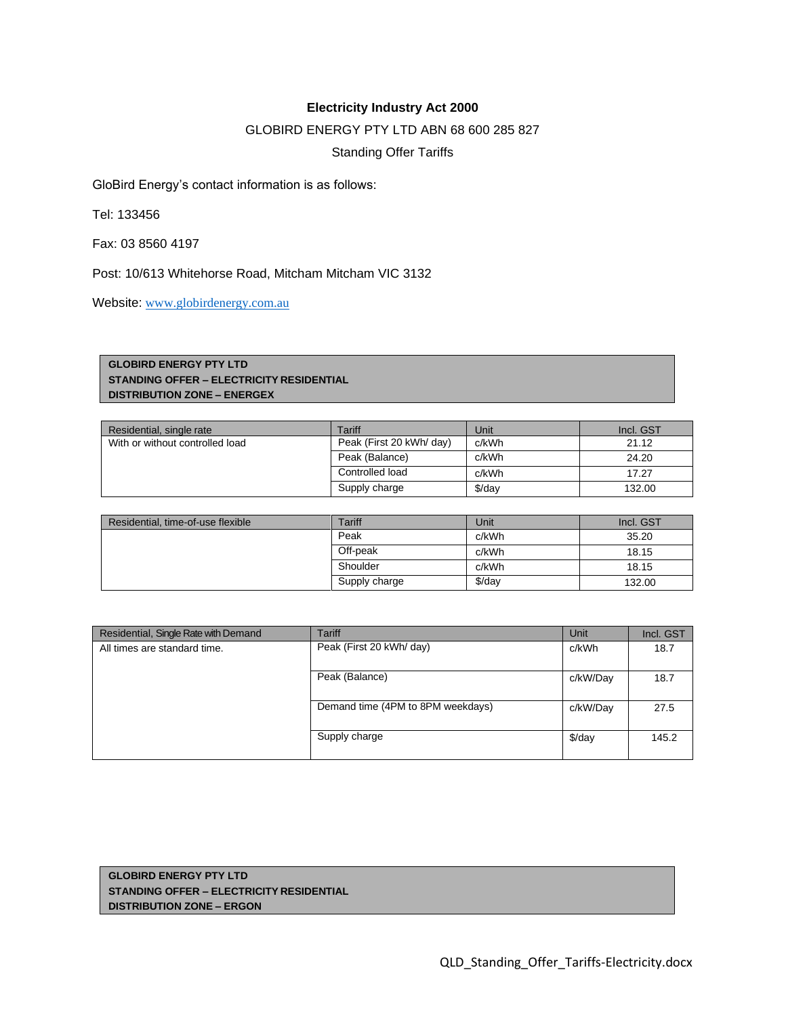## **Electricity Industry Act 2000**

## GLOBIRD ENERGY PTY LTD ABN 68 600 285 827

Standing Offer Tariffs

GloBird Energy's contact information is as follows:

Tel: 133456

Fax: 03 8560 4197

Post: 10/613 Whitehorse Road, Mitcham Mitcham VIC 3132

Website: [www.globirdenergy.com.au](http://www.globirdenergy.com.au/)

**GLOBIRD ENERGY PTY LTD STANDING OFFER – ELECTRICITY RESIDENTIAL DISTRIBUTION ZONE – ENERGEX**

| Residential, single rate        | Tariff                   | Unit   | Incl. GST |
|---------------------------------|--------------------------|--------|-----------|
| With or without controlled load | Peak (First 20 kWh/ day) | c/kWh  | 21.12     |
|                                 | Peak (Balance)           | c/kWh  | 24.20     |
|                                 | Controlled load          | c/kWh  | 17.27     |
|                                 | Supply charge            | \$/day | 132.00    |

| Residential, time-of-use flexible | Tariff        | Unit   | Incl. GST |
|-----------------------------------|---------------|--------|-----------|
|                                   | Peak          | c/kWh  | 35.20     |
|                                   | Off-peak      | c/kWh  | 18.15     |
|                                   | Shoulder      | c/kWh  | 18.15     |
|                                   | Supply charge | \$/day | 132.00    |

| Residential, Single Rate with Demand | <b>Tariff</b>                     | Unit     | Incl. GST |
|--------------------------------------|-----------------------------------|----------|-----------|
| All times are standard time.         | Peak (First 20 kWh/ day)          | c/kWh    | 18.7      |
|                                      |                                   |          |           |
|                                      | Peak (Balance)                    | c/kW/Day | 18.7      |
|                                      |                                   |          |           |
|                                      | Demand time (4PM to 8PM weekdays) | c/kW/Day | 27.5      |
|                                      |                                   |          |           |
|                                      | Supply charge                     | $$$ /day | 145.2     |
|                                      |                                   |          |           |

**GLOBIRD ENERGY PTY LTD STANDING OFFER – ELECTRICITY RESIDENTIAL DISTRIBUTION ZONE – ERGON**